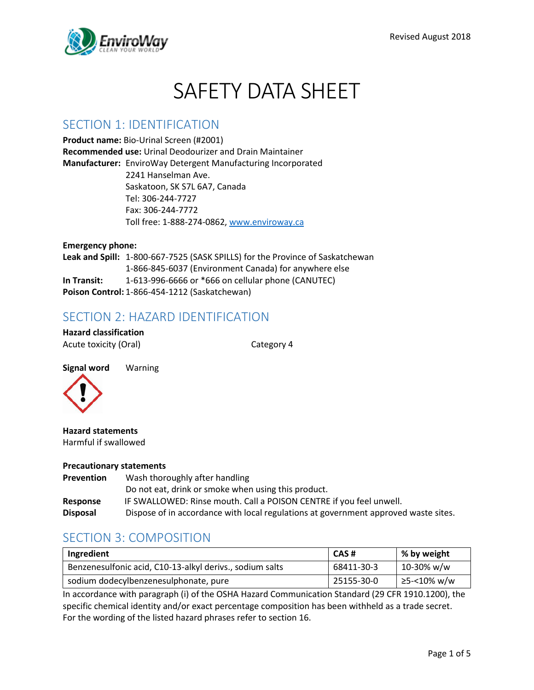

# SAFETY DATA SHEET

#### SECTION 1: IDENTIFICATION

**Product name:** Bio-Urinal Screen (#2001) **Recommended use:** Urinal Deodourizer and Drain Maintainer **Manufacturer:** EnviroWay Detergent Manufacturing Incorporated 2241 Hanselman Ave. Saskatoon, SK S7L 6A7, Canada Tel: 306-244-7727 Fax: 306-244-7772 Toll free: 1-888-274-0862, [www.enviroway.ca](http://www.enviroway.ca/)

**Emergency phone: Leak and Spill:** 1-800-667-7525 (SASK SPILLS) for the Province of Saskatchewan 1-866-845-6037 (Environment Canada) for anywhere else **In Transit:** 1-613-996-6666 or \*666 on cellular phone (CANUTEC) **Poison Control:** 1-866-454-1212 (Saskatchewan)

#### SECTION 2: HAZARD IDENTIFICATION

**Hazard classification** Acute toxicity (Oral) and Category 4



**Hazard statements** Harmful if swallowed

#### **Precautionary statements**

| <b>Prevention</b> | Wash thoroughly after handling                                                      |
|-------------------|-------------------------------------------------------------------------------------|
|                   | Do not eat, drink or smoke when using this product.                                 |
| Response          | IF SWALLOWED: Rinse mouth. Call a POISON CENTRE if you feel unwell.                 |
| <b>Disposal</b>   | Dispose of in accordance with local regulations at government approved waste sites. |

### SECTION 3: COMPOSITION

| Ingredient                                               | CAS#       | % by weight   |
|----------------------------------------------------------|------------|---------------|
| Benzenesulfonic acid, C10-13-alkyl derivs., sodium salts | 68411-30-3 | $10-30\%$ w/w |
| sodium dodecylbenzenesulphonate, pure                    | 25155-30-0 | ≥5-<10% w/w   |

In accordance with paragraph (i) of the OSHA Hazard Communication Standard (29 CFR 1910.1200), the specific chemical identity and/or exact percentage composition has been withheld as a trade secret. For the wording of the listed hazard phrases refer to section 16.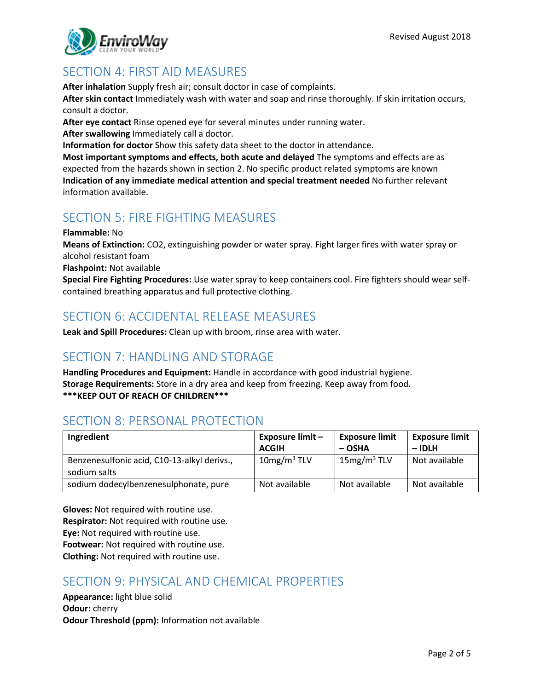

# SECTION 4: FIRST AID MEASURES

**After inhalation** Supply fresh air; consult doctor in case of complaints.

**After skin contact** Immediately wash with water and soap and rinse thoroughly. If skin irritation occurs, consult a doctor.

**After eye contact** Rinse opened eye for several minutes under running water.

**After swallowing** Immediately call a doctor.

**Information for doctor** Show this safety data sheet to the doctor in attendance.

**Most important symptoms and effects, both acute and delayed** The symptoms and effects are as expected from the hazards shown in section 2. No specific product related symptoms are known **Indication of any immediate medical attention and special treatment needed** No further relevant information available.

# SECTION 5: FIRE FIGHTING MEASURES

**Flammable:** No

**Means of Extinction:** CO2, extinguishing powder or water spray. Fight larger fires with water spray or alcohol resistant foam

**Flashpoint:** Not available

**Special Fire Fighting Procedures:** Use water spray to keep containers cool. Fire fighters should wear selfcontained breathing apparatus and full protective clothing.

# SECTION 6: ACCIDENTAL RELEASE MEASURES

**Leak and Spill Procedures:** Clean up with broom, rinse area with water.

### SECTION 7: HANDLING AND STORAGE

**Handling Procedures and Equipment:** Handle in accordance with good industrial hygiene. **Storage Requirements:** Store in a dry area and keep from freezing. Keep away from food. **\*\*\*KEEP OUT OF REACH OF CHILDREN\*\*\***

# SECTION 8: PERSONAL PROTECTION

| Ingredient                                                  | Exposure limit -<br><b>ACGIH</b> | <b>Exposure limit</b><br>– OSHA | <b>Exposure limit</b><br>$-$ IDLH |
|-------------------------------------------------------------|----------------------------------|---------------------------------|-----------------------------------|
| Benzenesulfonic acid, C10-13-alkyl derivs.,<br>sodium salts | $10$ mg/m <sup>3</sup> TLV       | $15$ mg/m <sup>3</sup> TLV      | Not available                     |
| sodium dodecylbenzenesulphonate, pure                       | Not available                    | Not available                   | Not available                     |

**Gloves:** Not required with routine use. **Respirator:** Not required with routine use. **Eye:** Not required with routine use. **Footwear:** Not required with routine use.

**Clothing:** Not required with routine use.

# SECTION 9: PHYSICAL AND CHEMICAL PROPERTIES

**Appearance:** light blue solid **Odour:** cherry **Odour Threshold (ppm):** Information not available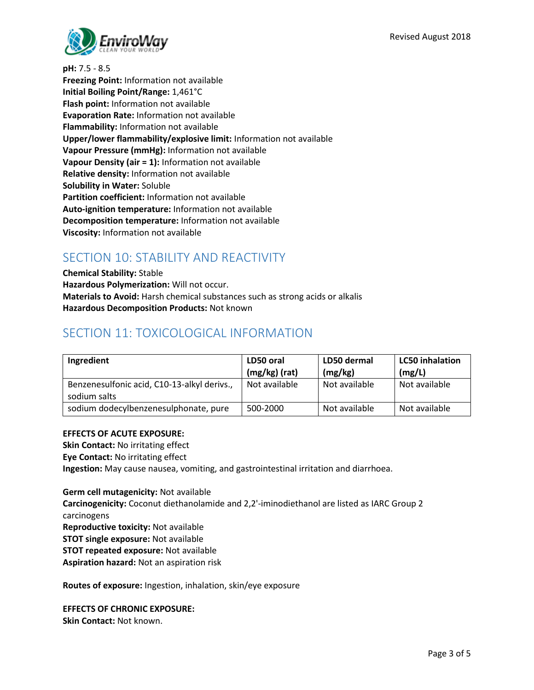

**pH:** 7.5 - 8.5

**Freezing Point:** Information not available **Initial Boiling Point/Range:** 1,461°C **Flash point:** Information not available **Evaporation Rate:** Information not available **Flammability:** Information not available **Upper/lower flammability/explosive limit:** Information not available **Vapour Pressure (mmHg):** Information not available **Vapour Density (air = 1):** Information not available **Relative density:** Information not available **Solubility in Water:** Soluble **Partition coefficient:** Information not available **Auto-ignition temperature:** Information not available **Decomposition temperature:** Information not available **Viscosity:** Information not available

# SECTION 10: STABILITY AND REACTIVITY

**Chemical Stability:** Stable **Hazardous Polymerization:** Will not occur. **Materials to Avoid:** Harsh chemical substances such as strong acids or alkalis **Hazardous Decomposition Products:** Not known

### SECTION 11: TOXICOLOGICAL INFORMATION

| Ingredient                                                  | LD50 oral<br>$(mg/kg)$ (rat) | LD50 dermal<br>(mg/kg) | <b>LC50</b> inhalation<br>(mg/L) |
|-------------------------------------------------------------|------------------------------|------------------------|----------------------------------|
| Benzenesulfonic acid, C10-13-alkyl derivs.,<br>sodium salts | Not available                | Not available          | Not available                    |
| sodium dodecylbenzenesulphonate, pure                       | 500-2000                     | Not available          | Not available                    |

#### **EFFECTS OF ACUTE EXPOSURE:**

**Skin Contact:** No irritating effect **Eye Contact:** No irritating effect **Ingestion:** May cause nausea, vomiting, and gastrointestinal irritation and diarrhoea.

**Germ cell mutagenicity:** Not available **Carcinogenicity:** Coconut diethanolamide and 2,2'-iminodiethanol are listed as IARC Group 2 carcinogens **Reproductive toxicity:** Not available **STOT single exposure:** Not available **STOT repeated exposure:** Not available **Aspiration hazard:** Not an aspiration risk

**Routes of exposure:** Ingestion, inhalation, skin/eye exposure

**EFFECTS OF CHRONIC EXPOSURE:**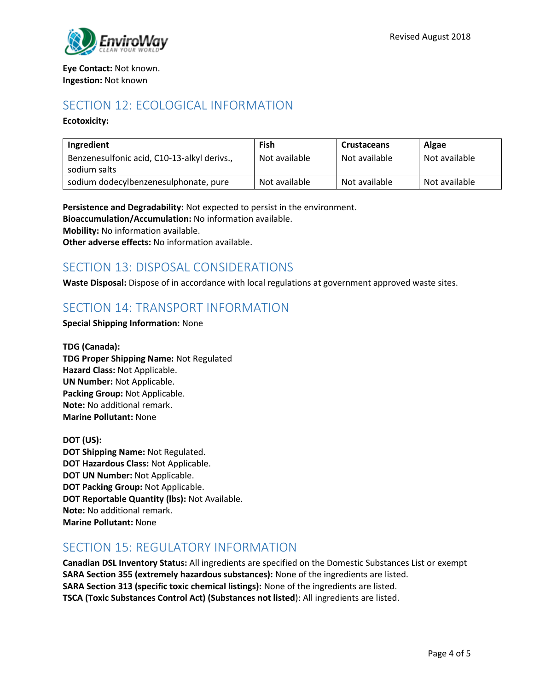#### **Eye Contact:** Not known. **Ingestion:** Not known

#### SECTION 12: ECOLOGICAL INFORMATION

#### **Ecotoxicity:**

| Ingredient                                                  | Fish          | <b>Crustaceans</b> | <b>Algae</b>  |
|-------------------------------------------------------------|---------------|--------------------|---------------|
| Benzenesulfonic acid, C10-13-alkyl derivs.,<br>sodium salts | Not available | Not available      | Not available |
| sodium dodecylbenzenesulphonate, pure                       | Not available | Not available      | Not available |

**Persistence and Degradability:** Not expected to persist in the environment.

**Bioaccumulation/Accumulation:** No information available.

**Mobility:** No information available.

**Other adverse effects:** No information available.

### SECTION 13: DISPOSAL CONSIDERATIONS

**Waste Disposal:** Dispose of in accordance with local regulations at government approved waste sites.

### SECTION 14: TRANSPORT INFORMATION

#### **Special Shipping Information:** None

**TDG (Canada): TDG Proper Shipping Name:** Not Regulated **Hazard Class:** Not Applicable. **UN Number:** Not Applicable. **Packing Group:** Not Applicable. **Note:** No additional remark. **Marine Pollutant:** None

**DOT (US): DOT Shipping Name:** Not Regulated. **DOT Hazardous Class:** Not Applicable. **DOT UN Number:** Not Applicable. **DOT Packing Group:** Not Applicable. **DOT Reportable Quantity (lbs):** Not Available. **Note:** No additional remark. **Marine Pollutant:** None

### SECTION 15: REGULATORY INFORMATION

**Canadian DSL Inventory Status:** All ingredients are specified on the Domestic Substances List or exempt **SARA Section 355 (extremely hazardous substances):** None of the ingredients are listed. **SARA Section 313 (specific toxic chemical listings):** None of the ingredients are listed. **TSCA (Toxic Substances Control Act) (Substances not listed**): All ingredients are listed.